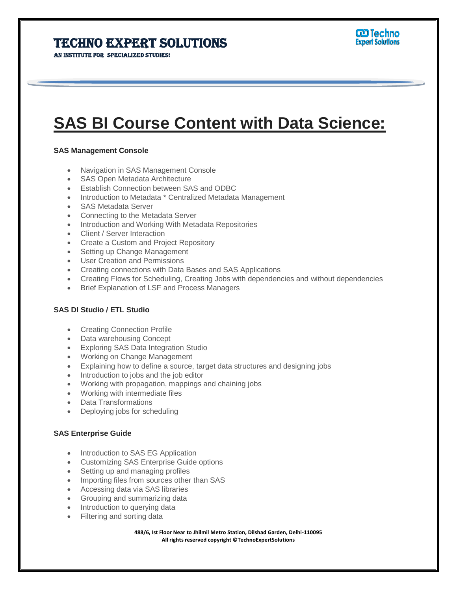# Techno Expert Solutions

AN INSTITUTE FOR SPECIALIZED STUDIES!

# **SAS BI Course Content with Data Science:**

Ī

## **SAS Management Console**

- Navigation in SAS Management Console
- SAS Open Metadata Architecture
- Establish Connection between SAS and ODBC
- Introduction to Metadata \* Centralized Metadata Management
- SAS Metadata Server
- Connecting to the Metadata Server
- Introduction and Working With Metadata Repositories
- Client / Server Interaction
- Create a Custom and Project Repository
- Setting up Change Management
- User Creation and Permissions
- Creating connections with Data Bases and SAS Applications
- Creating Flows for Scheduling, Creating Jobs with dependencies and without dependencies
- Brief Explanation of LSF and Process Managers

## **SAS DI Studio / ETL Studio**

- Creating Connection Profile
- Data warehousing Concept
- Exploring SAS Data Integration Studio
- Working on Change Management
- Explaining how to define a source, target data structures and designing jobs
- Introduction to jobs and the job editor
- Working with propagation, mappings and chaining jobs
- Working with intermediate files
- Data Transformations
- Deploying jobs for scheduling

#### **SAS Enterprise Guide**

- Introduction to SAS EG Application
- Customizing SAS Enterprise Guide options
- Setting up and managing profiles
- Importing files from sources other than SAS
- Accessing data via SAS libraries
- Grouping and summarizing data
- Introduction to querying data
- Filtering and sorting data

**488/6, Ist Floor Near to Jhilmil Metro Station, Dilshad Garden, Delhi-110095 All rights reserved copyright ©TechnoExpertSolutions**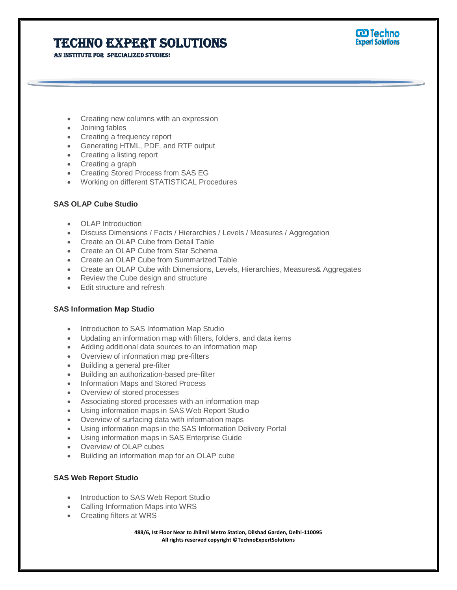# Techno Expert Solutions

AN INSTITUTE FOR SPECIALIZED STUDIES!



- Creating new columns with an expression
- Joining tables
- Creating a frequency report
- Generating HTML, PDF, and RTF output
- Creating a listing report
- Creating a graph
- Creating Stored Process from SAS EG
- Working on different STATISTICAL Procedures

#### **SAS OLAP Cube Studio**

- OLAP Introduction
- Discuss Dimensions / Facts / Hierarchies / Levels / Measures / Aggregation
- Create an OLAP Cube from Detail Table
- Create an OLAP Cube from Star Schema
- Create an OLAP Cube from Summarized Table
- Create an OLAP Cube with Dimensions, Levels, Hierarchies, Measures& Aggregates

Ī

- Review the Cube design and structure
- Edit structure and refresh

#### **SAS Information Map Studio**

- Introduction to SAS Information Map Studio
- Updating an information map with filters, folders, and data items
- Adding additional data sources to an information map
- Overview of information map pre-filters
- Building a general pre-filter
- Building an authorization-based pre-filter
- Information Maps and Stored Process
- Overview of stored processes
- Associating stored processes with an information map
- Using information maps in SAS Web Report Studio
- Overview of surfacing data with information maps
- Using information maps in the SAS Information Delivery Portal
- Using information maps in SAS Enterprise Guide
- Overview of OLAP cubes
- Building an information map for an OLAP cube

### **SAS Web Report Studio**

- Introduction to SAS Web Report Studio
- Calling Information Maps into WRS
- Creating filters at WRS

**488/6, Ist Floor Near to Jhilmil Metro Station, Dilshad Garden, Delhi-110095 All rights reserved copyright ©TechnoExpertSolutions**